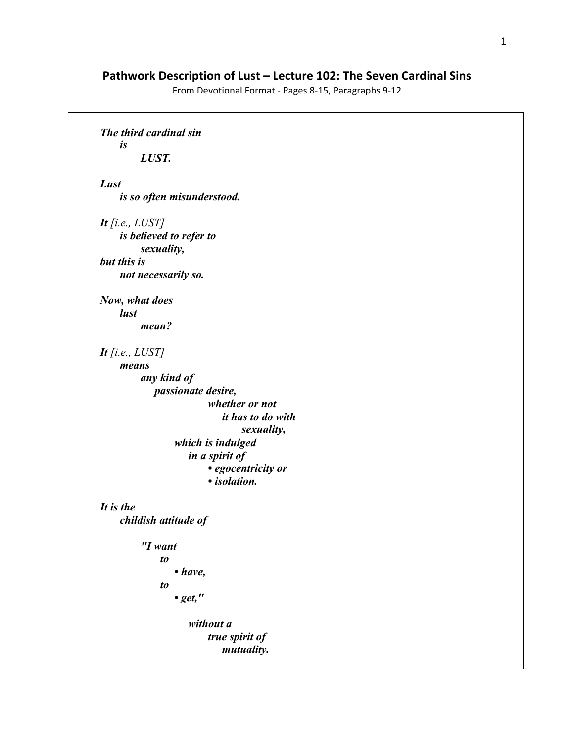## **Pathwork Description of Lust – Lecture 102: The Seven Cardinal Sins**

From Devotional Format - Pages 8-15, Paragraphs 9-12

```
The third cardinal sin 
     is 
         LUST. 
Lust 
     is so often misunderstood. 
It [i.e., LUST]
     is believed to refer to 
         sexuality, 
but this is 
     not necessarily so. 
Now, what does 
     lust 
         mean? 
It [i.e., LUST]
     means 
         any kind of 
              passionate desire, 
                          whether or not 
                               it has to do with 
                                   sexuality, 
                  which is indulged 
                      in a spirit of 
                          • egocentricity or 
                          • isolation. 
It is the 
     childish attitude of 
          "I want 
               to 
                  • have, 
               to 
                  • get," 
                      without a 
                          true spirit of 
                               mutuality.
```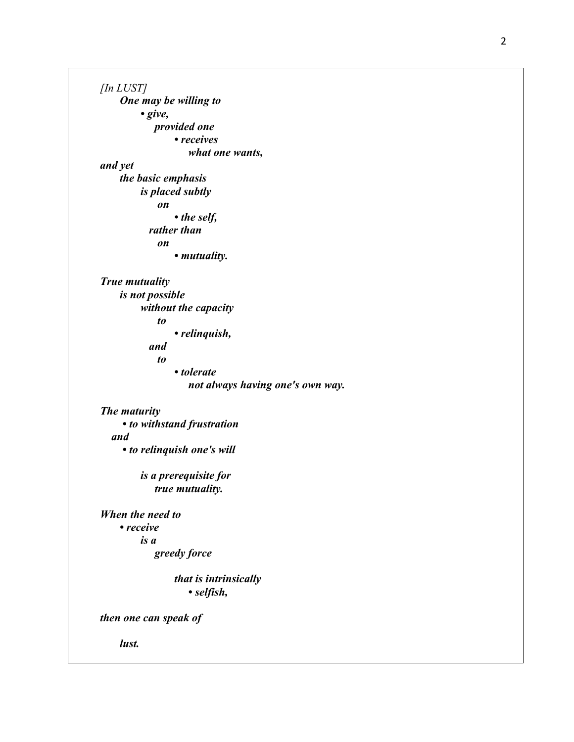*[In LUST] One may be willing to • give, provided one • receives what one wants, and yet the basic emphasis is placed subtly on • the self, rather than on • mutuality. True mutuality is not possible without the capacity to • relinquish, and to • tolerate not always having one's own way. The maturity • to withstand frustration and • to relinquish one's will is a prerequisite for true mutuality. When the need to • receive is a greedy force that is intrinsically • selfish, then one can speak of lust.*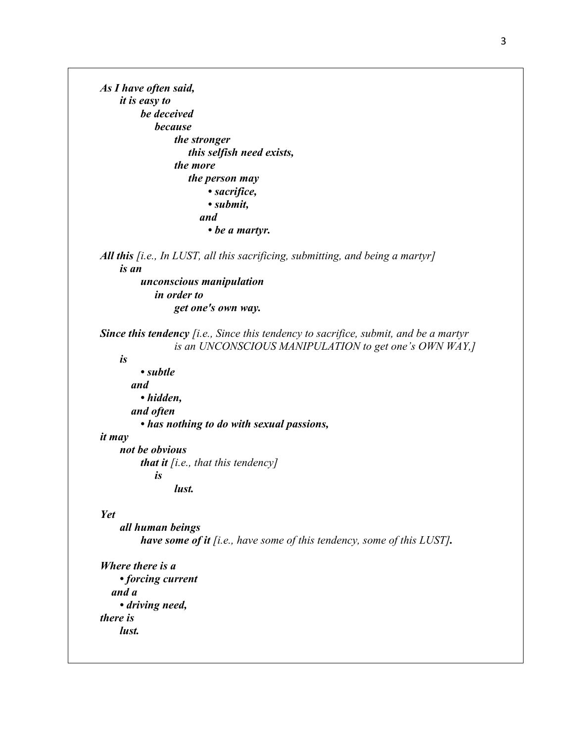*As I have often said, it is easy to be deceived because the stronger this selfish need exists, the more the person may • sacrifice, • submit, and • be a martyr. All this [i.e., In LUST, all this sacrificing, submitting, and being a martyr] is an unconscious manipulation in order to get one's own way. Since this tendency [i.e., Since this tendency to sacrifice, submit, and be a martyr is an UNCONSCIOUS MANIPULATION to get one's OWN WAY,] is • subtle and • hidden, and often • has nothing to do with sexual passions, it may not be obvious that it [i.e., that this tendency] is lust. Yet all human beings have some of it [i.e., have some of this tendency, some of this LUST]. Where there is a • forcing current and a • driving need, there is lust.*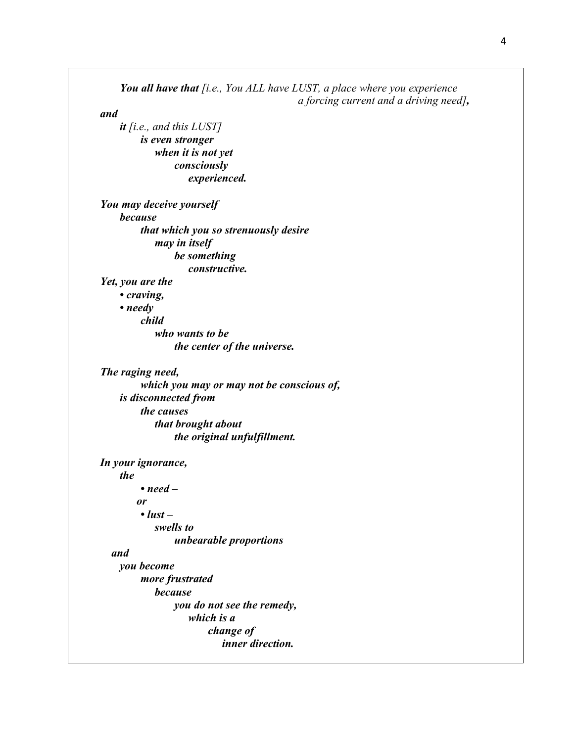*You all have that [i.e., You ALL have LUST, a place where you experience a forcing current and a driving need], and it [i.e., and this LUST] is even stronger when it is not yet consciously experienced. You may deceive yourself because that which you so strenuously desire may in itself be something constructive. Yet, you are the • craving, • needy child who wants to be the center of the universe. The raging need, which you may or may not be conscious of, is disconnected from the causes that brought about the original unfulfillment. In your ignorance, the • need – or • lust – swells to unbearable proportions and you become more frustrated because you do not see the remedy, which is a change of inner direction.*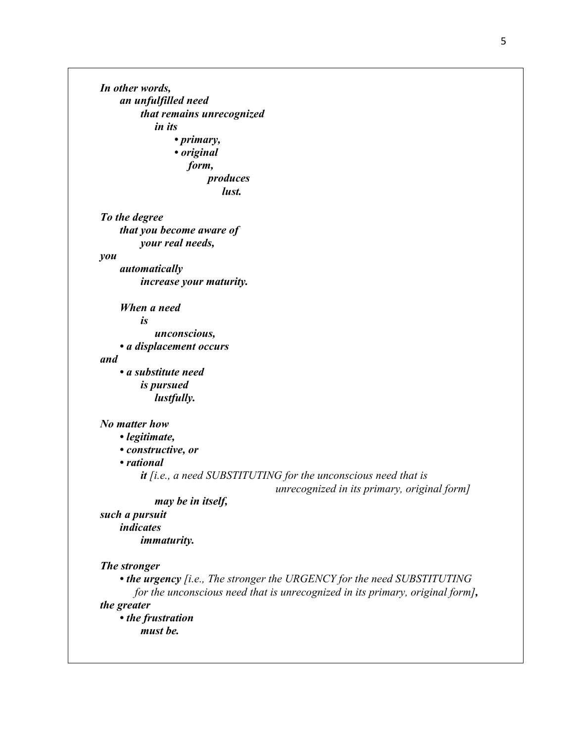*To the degree that you become aware of your real needs, you* 

> *automatically increase your maturity.*

 *When a need is* 

*In other words,* 

 *an unfulfilled need* 

 *in its* 

*that remains unrecognized* 

*produces lust.* 

*• primary, • original form,* 

 *unconscious,* 

 *• a displacement occurs* 

*and* 

 *• a substitute need is pursued lustfully.* 

## *No matter how*

 *• legitimate,* 

 *• constructive, or* 

 *• rational* 

*it [i.e., a need SUBSTITUTING for the unconscious need that is* 

*unrecognized in its primary, original form]*

 *may be in itself,* 

*such a pursuit indicates immaturity.* 

## *The stronger*

 *• the urgency [i.e., The stronger the URGENCY for the need SUBSTITUTING for the unconscious need that is unrecognized in its primary, original form], the greater* 

 *• the frustration must be.*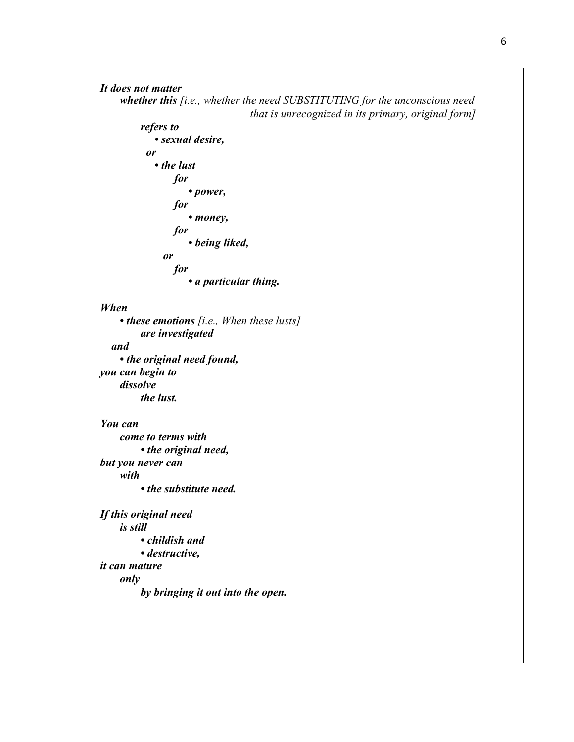```
It does not matter 
     whether this [i.e., whether the need SUBSTITUTING for the unconscious need 
                                     that is unrecognized in its primary, original form]
         refers to 
              • sexual desire, 
            or 
              • the lust 
                 for 
                      • power, 
                 for 
                      • money, 
                 for 
                      • being liked, 
                or 
                 for 
                      • a particular thing. 
When 
      • these emotions [i.e., When these lusts]
         are investigated 
   and 
     • the original need found, 
you can begin to 
     dissolve 
         the lust. 
You can 
     come to terms with 
         • the original need, 
but you never can 
     with 
         • the substitute need. 
If this original need 
     is still 
         • childish and 
         • destructive, 
it can mature 
     only 
         by bringing it out into the open.
```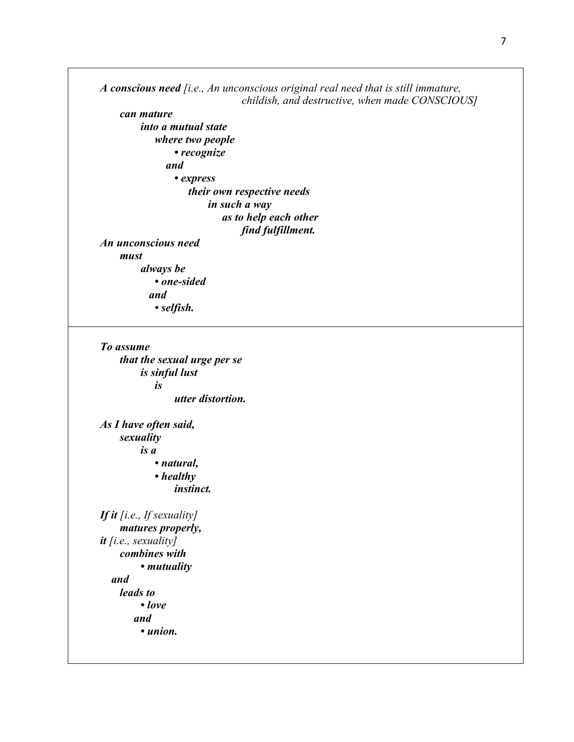*A conscious need [i.e., An unconscious original real need that is still immature, childish, and destructive, when made CONSCIOUS]*

 *can mature into a mutual state where two people • recognize and • express their own respective needs in such a way as to help each other find fulfillment. An unconscious need must always be • one-sided* 

 *and • selfish.*

*To assume that the sexual urge per se is sinful lust is utter distortion.* 

*As I have often said, sexuality is a • natural, • healthy instinct. If it [i.e., If sexuality]*

 *matures properly, it [i.e., sexuality] combines with • mutuality and leads to • love and • union.*